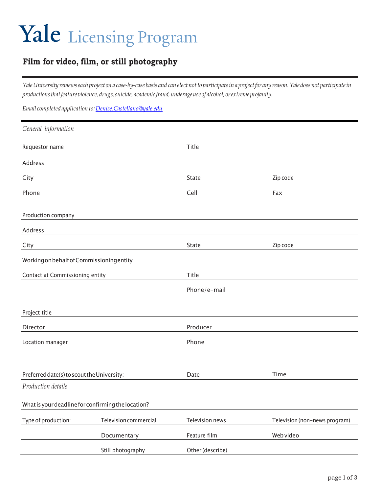## Yale Licensing Program

## **Film for video, film, or still photography**

Yale University reviews each project on a case-by-case basis and can elect not to participate in a project for any reason. Yale does not participate in *productionsthatfeatureviolence, drugs,suicide, academic fraud,underageuse of alcohol, orextremeprofanity.*

*Email completed applicationto[:Denise.Castellano@yale.edu](mailto:Denise.Castellano@yale.edu)*

| General information                        |                                                    |                  |                               |
|--------------------------------------------|----------------------------------------------------|------------------|-------------------------------|
| Requestor name                             |                                                    | Title            |                               |
| Address                                    |                                                    |                  |                               |
| City                                       |                                                    | State            | Zip code                      |
| Phone                                      |                                                    | Cell             | Fax                           |
| Production company                         |                                                    |                  |                               |
| Address                                    |                                                    |                  |                               |
| City                                       |                                                    | State            | Zip code                      |
| Working on behalf of Commissioning entity  |                                                    |                  |                               |
| Contact at Commissioning entity            |                                                    | Title            |                               |
|                                            |                                                    | Phone/e-mail     |                               |
| Project title                              |                                                    |                  |                               |
| Director                                   |                                                    | Producer         |                               |
| Location manager                           |                                                    | Phone            |                               |
|                                            |                                                    |                  |                               |
| Preferred date(s) to scout the University: |                                                    | Date             | Time                          |
| Production details                         |                                                    |                  |                               |
|                                            | What is your deadline for confirming the location? |                  |                               |
| Type of production:                        | Television commercial                              | Television news  | Television (non-news program) |
|                                            | Documentary                                        | Feature film     | Web video                     |
|                                            | Still photography                                  | Other (describe) |                               |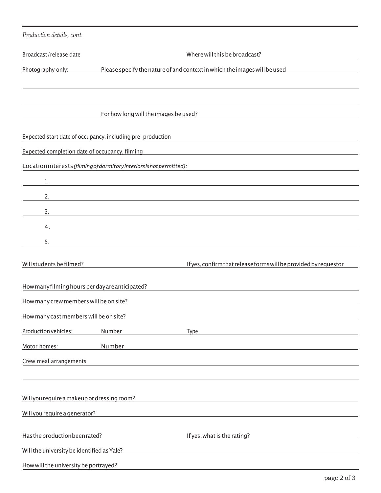| Production details, cont.                                                                      |                                                                       |                                                                                                                  |  |  |
|------------------------------------------------------------------------------------------------|-----------------------------------------------------------------------|------------------------------------------------------------------------------------------------------------------|--|--|
| Broadcast/release date                                                                         |                                                                       | Where will this be broadcast?                                                                                    |  |  |
| Please specify the nature of and context in which the images will be used<br>Photography only: |                                                                       |                                                                                                                  |  |  |
|                                                                                                |                                                                       |                                                                                                                  |  |  |
|                                                                                                |                                                                       |                                                                                                                  |  |  |
|                                                                                                | For how long will the images be used?                                 |                                                                                                                  |  |  |
|                                                                                                | Expected start date of occupancy, including pre-production            |                                                                                                                  |  |  |
| Expected completion date of occupancy, filming                                                 |                                                                       |                                                                                                                  |  |  |
|                                                                                                | Location interests (filming of dormitory interiors is not permitted): |                                                                                                                  |  |  |
| 1.                                                                                             |                                                                       |                                                                                                                  |  |  |
| 2.                                                                                             |                                                                       |                                                                                                                  |  |  |
| 3.                                                                                             |                                                                       |                                                                                                                  |  |  |
| 4.                                                                                             |                                                                       |                                                                                                                  |  |  |
| 5.                                                                                             |                                                                       |                                                                                                                  |  |  |
| Will students be filmed?                                                                       |                                                                       | If yes, confirm that release forms will be provided by requestor                                                 |  |  |
|                                                                                                |                                                                       |                                                                                                                  |  |  |
| How many filming hours per day are anticipated?                                                |                                                                       |                                                                                                                  |  |  |
| How many crew members will be on site?                                                         |                                                                       |                                                                                                                  |  |  |
| How many cast members will be on site?                                                         |                                                                       |                                                                                                                  |  |  |
| Production vehicles:<br>Motor homes:                                                           | Number<br>Number                                                      | <b>Type</b>                                                                                                      |  |  |
| Crew meal arrangements                                                                         |                                                                       |                                                                                                                  |  |  |
|                                                                                                |                                                                       |                                                                                                                  |  |  |
|                                                                                                |                                                                       |                                                                                                                  |  |  |
| Will you require a makeup or dressing room?                                                    |                                                                       | and the control of the control of the control of the control of the control of the control of the control of the |  |  |
| Will you require a generator?                                                                  |                                                                       |                                                                                                                  |  |  |
| Has the production been rated?                                                                 |                                                                       | If yes, what is the rating?                                                                                      |  |  |
| Will the university be identified as Yale?                                                     |                                                                       |                                                                                                                  |  |  |
| How will the university be portrayed?                                                          |                                                                       |                                                                                                                  |  |  |